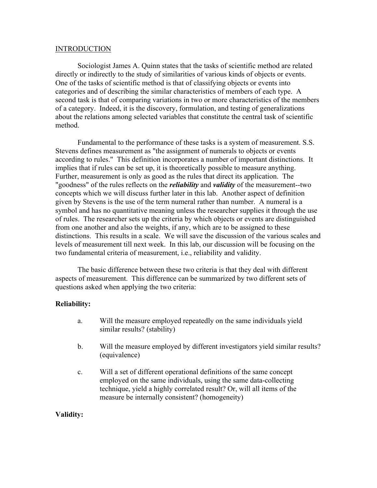#### **INTRODUCTION**

Sociologist James A. Quinn states that the tasks of scientific method are related directly or indirectly to the study of similarities of various kinds of objects or events. One of the tasks of scientific method is that of classifying objects or events into categories and of describing the similar characteristics of members of each type. A second task is that of comparing variations in two or more characteristics of the members of a category. Indeed, it is the discovery, formulation, and testing of generalizations about the relations among selected variables that constitute the central task of scientific method.

Fundamental to the performance of these tasks is a system of measurement. S.S. Stevens defines measurement as "the assignment of numerals to objects or events according to rules." This definition incorporates a number of important distinctions. It implies that if rules can be set up, it is theoretically possible to measure anything. Further, measurement is only as good as the rules that direct its application. The "goodness" of the rules reflects on the *reliability* and *validity* of the measurement--two concepts which we will discuss further later in this lab. Another aspect of definition given by Stevens is the use of the term numeral rather than number. A numeral is a symbol and has no quantitative meaning unless the researcher supplies it through the use of rules. The researcher sets up the criteria by which objects or events are distinguished from one another and also the weights, if any, which are to be assigned to these distinctions. This results in a scale. We will save the discussion of the various scales and levels of measurement till next week. In this lab, our discussion will be focusing on the two fundamental criteria of measurement, i.e., reliability and validity.

The basic difference between these two criteria is that they deal with different aspects of measurement. This difference can be summarized by two different sets of questions asked when applying the two criteria:

## **Reliability:**

- a. Will the measure employed repeatedly on the same individuals yield similar results? (stability)
- b. Will the measure employed by different investigators yield similar results? (equivalence)
- c. Will a set of different operational definitions of the same concept employed on the same individuals, using the same data-collecting technique, yield a highly correlated result? Or, will all items of the measure be internally consistent? (homogeneity)

## **Validity:**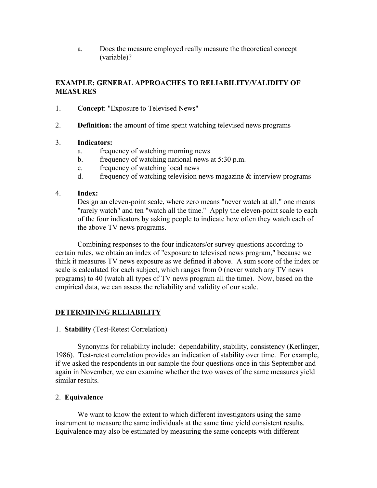a. Does the measure employed really measure the theoretical concept (variable)?

# **EXAMPLE: GENERAL APPROACHES TO RELIABILITY/VALIDITY OF MEASURES**

- 1. **Concept**: "Exposure to Televised News"
- 2. **Definition:** the amount of time spent watching televised news programs

## 3. **Indicators:**

- a. frequency of watching morning news
- b. frequency of watching national news at 5:30 p.m.
- c. frequency of watching local news
- d. frequency of watching television news magazine  $\&$  interview programs

### 4. **Index:**

Design an eleven-point scale, where zero means "never watch at all," one means "rarely watch" and ten "watch all the time." Apply the eleven-point scale to each of the four indicators by asking people to indicate how often they watch each of the above TV news programs.

Combining responses to the four indicators/or survey questions according to certain rules, we obtain an index of "exposure to televised news program," because we think it measures TV news exposure as we defined it above. A sum score of the index or scale is calculated for each subject, which ranges from 0 (never watch any TV news programs) to 40 (watch all types of TV news program all the time). Now, based on the empirical data, we can assess the reliability and validity of our scale.

## **DETERMINING RELIABILITY**

### 1. **Stability** (Test-Retest Correlation)

Synonyms for reliability include: dependability, stability, consistency (Kerlinger, 1986). Test-retest correlation provides an indication of stability over time. For example, if we asked the respondents in our sample the four questions once in this September and again in November, we can examine whether the two waves of the same measures yield similar results.

### 2. **Equivalence**

We want to know the extent to which different investigators using the same instrument to measure the same individuals at the same time yield consistent results. Equivalence may also be estimated by measuring the same concepts with different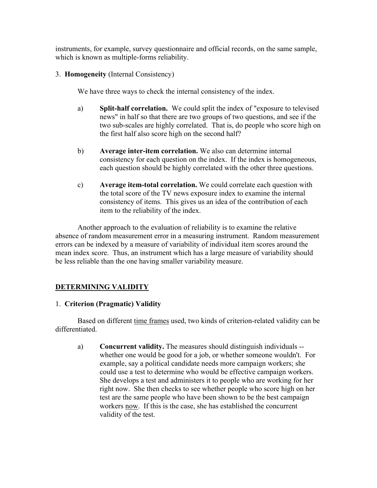instruments, for example, survey questionnaire and official records, on the same sample, which is known as multiple-forms reliability.

## 3. **Homogeneity** (Internal Consistency)

We have three ways to check the internal consistency of the index.

- a) **Split-half correlation.** We could split the index of "exposure to televised news" in half so that there are two groups of two questions, and see if the two sub-scales are highly correlated. That is, do people who score high on the first half also score high on the second half?
- b) **Average inter-item correlation.** We also can determine internal consistency for each question on the index. If the index is homogeneous, each question should be highly correlated with the other three questions.
- c) **Average item-total correlation.** We could correlate each question with the total score of the TV news exposure index to examine the internal consistency of items. This gives us an idea of the contribution of each item to the reliability of the index.

Another approach to the evaluation of reliability is to examine the relative absence of random measurement error in a measuring instrument. Random measurement errors can be indexed by a measure of variability of individual item scores around the mean index score. Thus, an instrument which has a large measure of variability should be less reliable than the one having smaller variability measure.

## **DETERMINING VALIDITY**

### 1. **Criterion (Pragmatic) Validity**

Based on different time frames used, two kinds of criterion-related validity can be differentiated.

a) **Concurrent validity.** The measures should distinguish individuals - whether one would be good for a job, or whether someone wouldn't. For example, say a political candidate needs more campaign workers; she could use a test to determine who would be effective campaign workers. She develops a test and administers it to people who are working for her right now. She then checks to see whether people who score high on her test are the same people who have been shown to be the best campaign workers now. If this is the case, she has established the concurrent validity of the test.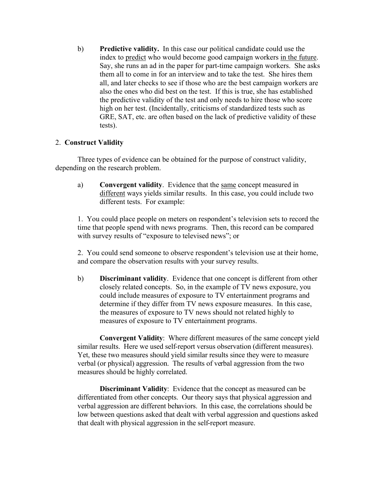b) **Predictive validity.** In this case our political candidate could use the index to predict who would become good campaign workers in the future. Say, she runs an ad in the paper for part-time campaign workers. She asks them all to come in for an interview and to take the test. She hires them all, and later checks to see if those who are the best campaign workers are also the ones who did best on the test. If this is true, she has established the predictive validity of the test and only needs to hire those who score high on her test. (Incidentally, criticisms of standardized tests such as GRE, SAT, etc. are often based on the lack of predictive validity of these tests).

## 2. **Construct Validity**

Three types of evidence can be obtained for the purpose of construct validity, depending on the research problem.

a) **Convergent validity**. Evidence that the same concept measured in different ways yields similar results. In this case, you could include two different tests. For example:

1. You could place people on meters on respondent's television sets to record the time that people spend with news programs. Then, this record can be compared with survey results of "exposure to televised news"; or

2. You could send someone to observe respondent's television use at their home, and compare the observation results with your survey results.

b) **Discriminant validity**. Evidence that one concept is different from other closely related concepts. So, in the example of TV news exposure, you could include measures of exposure to TV entertainment programs and determine if they differ from TV news exposure measures. In this case, the measures of exposure to TV news should not related highly to measures of exposure to TV entertainment programs.

**Convergent Validity**: Where different measures of the same concept yield similar results. Here we used self-report versus observation (different measures). Yet, these two measures should yield similar results since they were to measure verbal (or physical) aggression. The results of verbal aggression from the two measures should be highly correlated.

**Discriminant Validity**: Evidence that the concept as measured can be differentiated from other concepts. Our theory says that physical aggression and verbal aggression are different behaviors. In this case, the correlations should be low between questions asked that dealt with verbal aggression and questions asked that dealt with physical aggression in the self-report measure.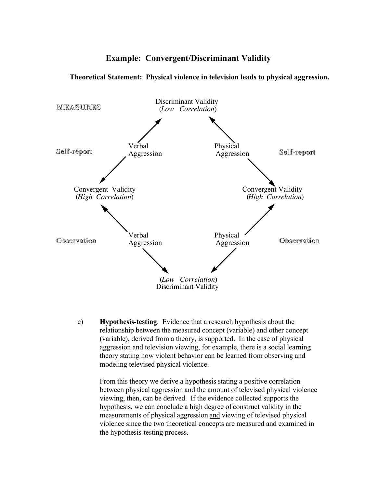# **Example: Convergent/Discriminant Validity**



**Theoretical Statement: Physical violence in television leads to physical aggression.**

c) **Hypothesis-testing**. Evidence that a research hypothesis about the relationship between the measured concept (variable) and other concept (variable), derived from a theory, is supported. In the case of physical aggression and television viewing, for example, there is a social learning theory stating how violent behavior can be learned from observing and modeling televised physical violence.

From this theory we derive a hypothesis stating a positive correlation between physical aggression and the amount of televised physical violence viewing, then, can be derived. If the evidence collected supports the hypothesis, we can conclude a high degree of construct validity in the measurements of physical aggression and viewing of televised physical violence since the two theoretical concepts are measured and examined in the hypothesis-testing process.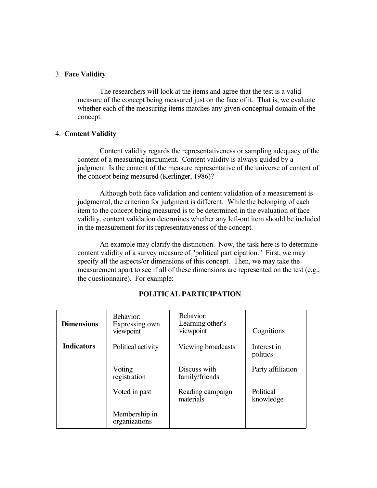#### 3. **Face Validity**

The researchers will look at the items and agree that the test is a valid measure of the concept being measured just on the face of it. That is, we evaluate whether each of the measuring items matches any given conceptual domain of the concept.

#### 4. **Content Validity**

Content validity regards the representativeness or sampling adequacy of the content of a measuring instrument. Content validity is always guided by a judgment: Is the content of the measure representative of the universe of content of the concept being measured (Kerlinger, 1986)?

Although both face validation and content validation of a measurement is judgmental, the criterion for judgment is different. While the belonging of each item to the concept being measured is to be determined in the evaluation of face validity, content validation determines whether any left-out item should be included in the measurement for its representativeness of the concept.

An example may clarify the distinction. Now, the task here is to determine content validity of a survey measure of "political participation." First, we may specify all the aspects/or dimensions of this concept. Then, we may take the measurement apart to see if all of these dimensions are represented on the test (e.g., the questionnaire). For example:

| <b>Dimensions</b> | Behavior:<br>Expressing own<br>viewpoint | Behavior:<br>Learning other's<br>viewpoint | Cognitions              |
|-------------------|------------------------------------------|--------------------------------------------|-------------------------|
| <b>Indicators</b> | Political activity                       | Viewing broadcasts                         | Interest in<br>politics |
|                   | Voting<br>registration                   | Discuss with<br>family/friends             | Party affiliation       |
|                   | Voted in past                            | Reading campaign<br>materials              | Political<br>knowledge  |
|                   | Membership in<br>organizations           |                                            |                         |

### **POLITICAL PARTICIPATION**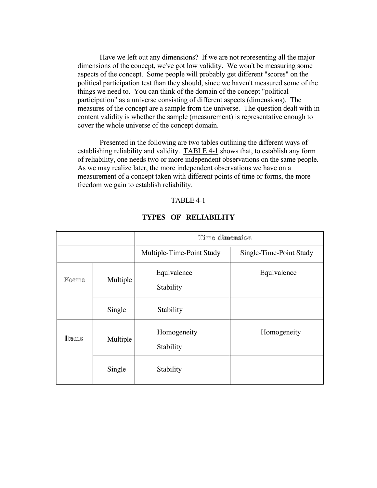Have we left out any dimensions? If we are not representing all the major dimensions of the concept, we've got low validity. We won't be measuring some aspects of the concept. Some people will probably get different "scores" on the political participation test than they should, since we haven't measured some of the things we need to. You can think of the domain of the concept "political participation" as a universe consisting of different aspects (dimensions). The measures of the concept are a sample from the universe. The question dealt with in content validity is whether the sample (measurement) is representative enough to cover the whole universe of the concept domain.

Presented in the following are two tables outlining the different ways of establishing reliability and validity. TABLE 4-1 shows that, to establish any form of reliability, one needs two or more independent observations on the same people. As we may realize later, the more independent observations we have on a measurement of a concept taken with different points of time or forms, the more freedom we gain to establish reliability.

#### TABLE 4-1

|       |          | Time dimension            |                         |  |
|-------|----------|---------------------------|-------------------------|--|
|       |          | Multiple-Time-Point Study | Single-Time-Point Study |  |
| Forms | Multiple | Equivalence<br>Stability  | Equivalence             |  |
|       | Single   | Stability                 |                         |  |
| Items | Multiple | Homogeneity<br>Stability  | Homogeneity             |  |
|       | Single   | Stability                 |                         |  |

#### **TYPES OF RELIABILITY**